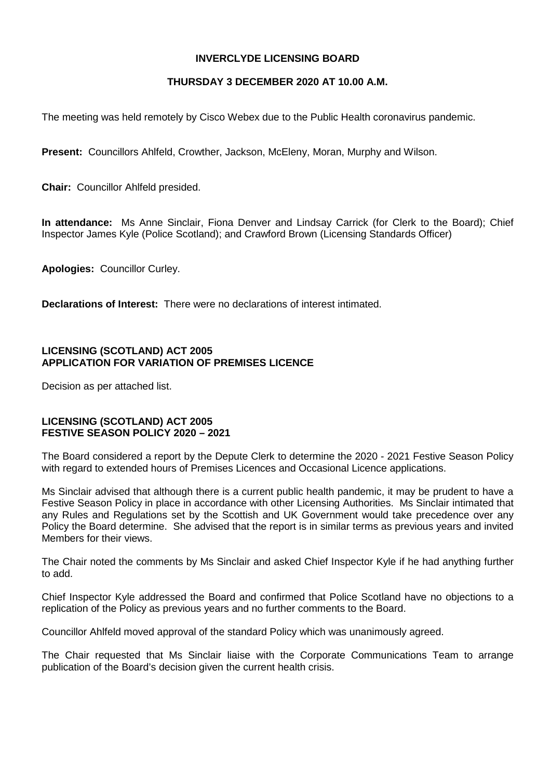### **INVERCLYDE LICENSING BOARD**

# **THURSDAY 3 DECEMBER 2020 AT 10.00 A.M.**

The meeting was held remotely by Cisco Webex due to the Public Health coronavirus pandemic.

**Present:** Councillors Ahlfeld, Crowther, Jackson, McEleny, Moran, Murphy and Wilson.

**Chair:** Councillor Ahlfeld presided.

**In attendance:** Ms Anne Sinclair, Fiona Denver and Lindsay Carrick (for Clerk to the Board); Chief Inspector James Kyle (Police Scotland); and Crawford Brown (Licensing Standards Officer)

**Apologies:** Councillor Curley.

**Declarations of Interest:** There were no declarations of interest intimated.

### **LICENSING (SCOTLAND) ACT 2005 APPLICATION FOR VARIATION OF PREMISES LICENCE**

Decision as per attached list.

#### **LICENSING (SCOTLAND) ACT 2005 FESTIVE SEASON POLICY 2020 – 2021**

The Board considered a report by the Depute Clerk to determine the 2020 - 2021 Festive Season Policy with regard to extended hours of Premises Licences and Occasional Licence applications.

Ms Sinclair advised that although there is a current public health pandemic, it may be prudent to have a Festive Season Policy in place in accordance with other Licensing Authorities. Ms Sinclair intimated that any Rules and Regulations set by the Scottish and UK Government would take precedence over any Policy the Board determine. She advised that the report is in similar terms as previous years and invited Members for their views.

The Chair noted the comments by Ms Sinclair and asked Chief Inspector Kyle if he had anything further to add.

Chief Inspector Kyle addressed the Board and confirmed that Police Scotland have no objections to a replication of the Policy as previous years and no further comments to the Board.

Councillor Ahlfeld moved approval of the standard Policy which was unanimously agreed.

The Chair requested that Ms Sinclair liaise with the Corporate Communications Team to arrange publication of the Board's decision given the current health crisis.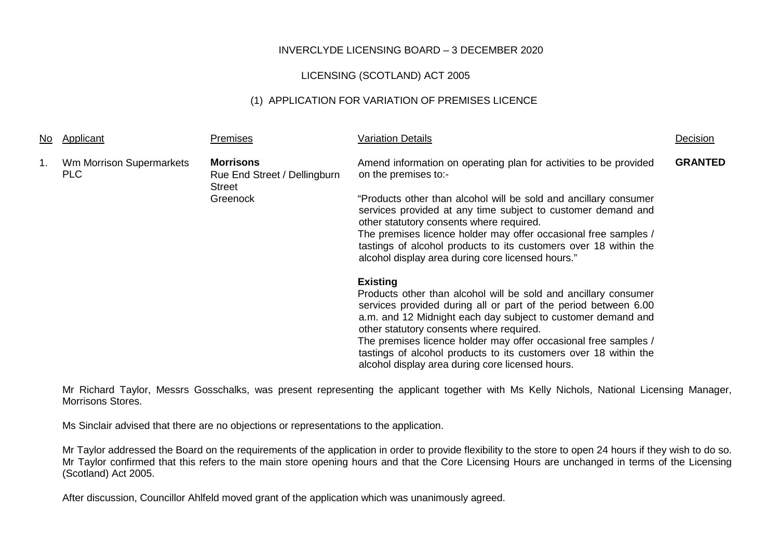## INVERCLYDE LICENSING BOARD – 3 DECEMBER 2020

## LICENSING (SCOTLAND) ACT 2005

## (1) APPLICATION FOR VARIATION OF PREMISES LICENCE

| No | Applicant                       | Premises                                                          | <b>Variation Details</b>                                                                                                                                                                                                                                                                                                                                                                                                                                     | Decision       |
|----|---------------------------------|-------------------------------------------------------------------|--------------------------------------------------------------------------------------------------------------------------------------------------------------------------------------------------------------------------------------------------------------------------------------------------------------------------------------------------------------------------------------------------------------------------------------------------------------|----------------|
| 1. | Wm Morrison Supermarkets<br>PLC | <b>Morrisons</b><br>Rue End Street / Dellingburn<br><b>Street</b> | Amend information on operating plan for activities to be provided<br>on the premises to:-                                                                                                                                                                                                                                                                                                                                                                    | <b>GRANTED</b> |
|    |                                 | Greenock                                                          | "Products other than alcohol will be sold and ancillary consumer<br>services provided at any time subject to customer demand and<br>other statutory consents where required.<br>The premises licence holder may offer occasional free samples /<br>tastings of alcohol products to its customers over 18 within the<br>alcohol display area during core licensed hours."                                                                                     |                |
|    |                                 |                                                                   | <b>Existing</b><br>Products other than alcohol will be sold and ancillary consumer<br>services provided during all or part of the period between 6.00<br>a.m. and 12 Midnight each day subject to customer demand and<br>other statutory consents where required.<br>The premises licence holder may offer occasional free samples /<br>tastings of alcohol products to its customers over 18 within the<br>alcohol display area during core licensed hours. |                |

Mr Richard Taylor, Messrs Gosschalks, was present representing the applicant together with Ms Kelly Nichols, National Licensing Manager, Morrisons Stores.

Ms Sinclair advised that there are no objections or representations to the application.

Mr Taylor addressed the Board on the requirements of the application in order to provide flexibility to the store to open 24 hours if they wish to do so. Mr Taylor confirmed that this refers to the main store opening hours and that the Core Licensing Hours are unchanged in terms of the Licensing (Scotland) Act 2005.

After discussion, Councillor Ahlfeld moved grant of the application which was unanimously agreed.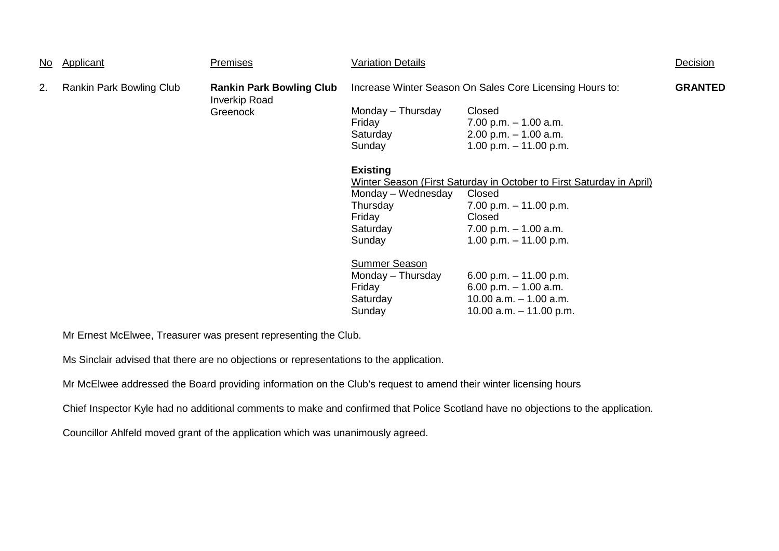| No. | Applicant                | <b>Premises</b>                                         | <b>Variation Details</b>                                 |                                                                      | Decision       |
|-----|--------------------------|---------------------------------------------------------|----------------------------------------------------------|----------------------------------------------------------------------|----------------|
| 2.  | Rankin Park Bowling Club | <b>Rankin Park Bowling Club</b><br><b>Inverkip Road</b> | Increase Winter Season On Sales Core Licensing Hours to: |                                                                      | <b>GRANTED</b> |
|     |                          | Greenock                                                | Monday - Thursday                                        | Closed                                                               |                |
|     |                          |                                                         | Friday                                                   | $7.00$ p.m. $-1.00$ a.m.                                             |                |
|     |                          |                                                         | Saturday                                                 | $2.00$ p.m. $-1.00$ a.m.                                             |                |
|     |                          |                                                         | Sunday                                                   | 1.00 p.m. $-$ 11.00 p.m.                                             |                |
|     |                          |                                                         | <b>Existing</b>                                          |                                                                      |                |
|     |                          |                                                         |                                                          | Winter Season (First Saturday in October to First Saturday in April) |                |
|     |                          |                                                         | Monday - Wednesday                                       | Closed                                                               |                |
|     |                          |                                                         | Thursday                                                 | 7.00 p.m. $-$ 11.00 p.m.                                             |                |
|     |                          |                                                         | Friday                                                   | Closed                                                               |                |
|     |                          |                                                         | Saturday                                                 | $7.00$ p.m. $-1.00$ a.m.                                             |                |
|     |                          |                                                         | Sunday                                                   | 1.00 p.m. $-$ 11.00 p.m.                                             |                |
|     |                          |                                                         | <b>Summer Season</b>                                     |                                                                      |                |
|     |                          |                                                         | Monday - Thursday                                        | 6.00 p.m. $-11.00$ p.m.                                              |                |
|     |                          |                                                         | Friday                                                   | 6.00 p.m. $-1.00$ a.m.                                               |                |
|     |                          |                                                         | Saturday                                                 | 10.00 $a.m. - 1.00 a.m.$                                             |                |
|     |                          |                                                         | Sunday                                                   | 10.00 a.m. $-$ 11.00 p.m.                                            |                |

Mr Ernest McElwee, Treasurer was present representing the Club.

Ms Sinclair advised that there are no objections or representations to the application.

Mr McElwee addressed the Board providing information on the Club's request to amend their winter licensing hours

Chief Inspector Kyle had no additional comments to make and confirmed that Police Scotland have no objections to the application.

Councillor Ahlfeld moved grant of the application which was unanimously agreed.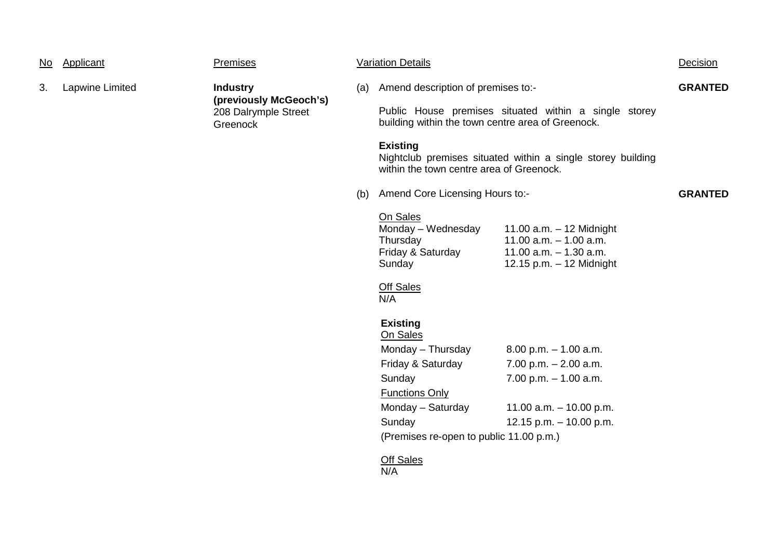| <u>No</u> | Applicant                                                                                        | <b>Premises</b> | <b>Variation Details</b>                                                                                   |                                                                                                                                     |                                                                                                                    | Decision       |
|-----------|--------------------------------------------------------------------------------------------------|-----------------|------------------------------------------------------------------------------------------------------------|-------------------------------------------------------------------------------------------------------------------------------------|--------------------------------------------------------------------------------------------------------------------|----------------|
| 3.        | Lapwine Limited<br><b>Industry</b><br>(previously McGeoch's)<br>208 Dalrymple Street<br>Greenock |                 | (a)                                                                                                        | Amend description of premises to:-                                                                                                  |                                                                                                                    | <b>GRANTED</b> |
|           |                                                                                                  |                 | Public House premises situated within a single storey<br>building within the town centre area of Greenock. |                                                                                                                                     |                                                                                                                    |                |
|           |                                                                                                  |                 | <b>Existing</b><br>within the town centre area of Greenock.                                                | Nightclub premises situated within a single storey building                                                                         |                                                                                                                    |                |
|           |                                                                                                  | (b)             | Amend Core Licensing Hours to:-                                                                            |                                                                                                                                     | <b>GRANTED</b>                                                                                                     |                |
|           |                                                                                                  |                 |                                                                                                            | On Sales<br>Monday - Wednesday<br>Thursday<br>Friday & Saturday<br>Sunday<br><b>Off Sales</b><br>N/A<br><b>Existing</b><br>On Sales | 11.00 $a.m. - 12$ Midnight<br>11.00 $a.m. - 1.00$ $a.m.$<br>11.00 $a.m. - 1.30$ $a.m.$<br>12.15 p.m. - 12 Midnight |                |
|           |                                                                                                  |                 |                                                                                                            | Monday - Thursday                                                                                                                   | $8.00$ p.m. $-1.00$ a.m.                                                                                           |                |
|           |                                                                                                  |                 |                                                                                                            | Friday & Saturday<br>Sunday                                                                                                         | 7.00 p.m. $- 2.00$ a.m.<br>$7.00$ p.m. $-1.00$ a.m.                                                                |                |
|           |                                                                                                  |                 |                                                                                                            | <b>Functions Only</b>                                                                                                               |                                                                                                                    |                |
|           |                                                                                                  |                 |                                                                                                            | Monday - Saturday                                                                                                                   | 11.00 a.m. $-$ 10.00 p.m.                                                                                          |                |
|           |                                                                                                  |                 |                                                                                                            | Sunday                                                                                                                              | 12.15 p.m. $-$ 10.00 p.m.                                                                                          |                |
|           |                                                                                                  |                 |                                                                                                            | (Premises re-open to public 11.00 p.m.)                                                                                             |                                                                                                                    |                |
|           |                                                                                                  |                 |                                                                                                            | <b>Off Sales</b><br>N/A                                                                                                             |                                                                                                                    |                |
|           |                                                                                                  |                 |                                                                                                            |                                                                                                                                     |                                                                                                                    |                |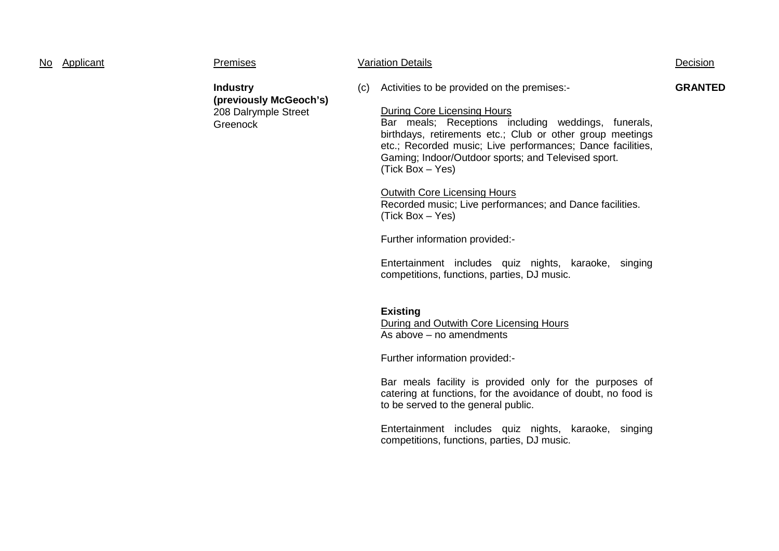| No Applicant | Premises                                                                      |     | <b>Variation Details</b>                                                                                                                                                                                                                                                                                                                                                                                                                                                                                                                                                                                       | Decision       |
|--------------|-------------------------------------------------------------------------------|-----|----------------------------------------------------------------------------------------------------------------------------------------------------------------------------------------------------------------------------------------------------------------------------------------------------------------------------------------------------------------------------------------------------------------------------------------------------------------------------------------------------------------------------------------------------------------------------------------------------------------|----------------|
|              | <b>Industry</b><br>(previously McGeoch's)<br>208 Dalrymple Street<br>Greenock | (c) | Activities to be provided on the premises:-<br><b>During Core Licensing Hours</b><br>Bar meals; Receptions including weddings, funerals,<br>birthdays, retirements etc.; Club or other group meetings<br>etc.; Recorded music; Live performances; Dance facilities,<br>Gaming; Indoor/Outdoor sports; and Televised sport.<br>(Tick Box – Yes)<br><b>Outwith Core Licensing Hours</b><br>Recorded music; Live performances; and Dance facilities.<br>(Tick Box - Yes)<br>Further information provided:-<br>Entertainment includes quiz nights, karaoke, singing<br>competitions, functions, parties, DJ music. | <b>GRANTED</b> |
|              |                                                                               |     | <b>Existing</b><br>During and Outwith Core Licensing Hours<br>As above – no amendments<br>Further information provided:-<br>Bar meals facility is provided only for the purposes of<br>catering at functions, for the avoidance of doubt, no food is<br>to be served to the general public.                                                                                                                                                                                                                                                                                                                    |                |

Entertainment includes quiz nights, karaoke, singing competitions, functions, parties, DJ music.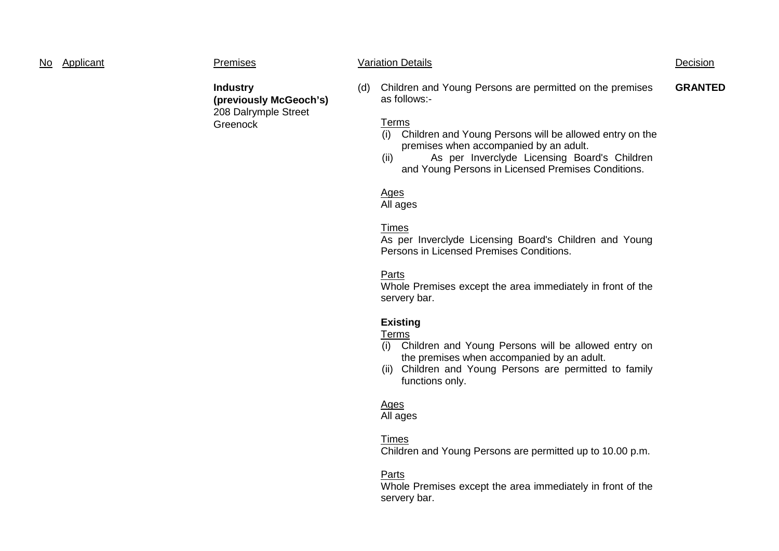#### No Applicant Premises Variation Details Decision

**Industry (previously McGeoch's)** 208 Dalrymple Street Greenock

(d) Children and Young Persons are permitted on the premises as follows:- **GRANTED**

#### Terms

- (i) Children and Young Persons will be allowed entry on the premises when accompanied by an adult.
- (ii) As per Inverclyde Licensing Board's Children and Young Persons in Licensed Premises Conditions.

# Ages

All ages

# Times

As per Inverclyde Licensing Board's Children and Young Persons in Licensed Premises Conditions.

# Parts

Whole Premises except the area immediately in front of the servery bar.

# **Existing**

# Terms

- (i) Children and Young Persons will be allowed entry on the premises when accompanied by an adult.
- (ii) Children and Young Persons are permitted to family functions only.

# Ages

All ages

# Times

Children and Young Persons are permitted up to 10.00 p.m.

# Parts

Whole Premises except the area immediately in front of the servery bar.